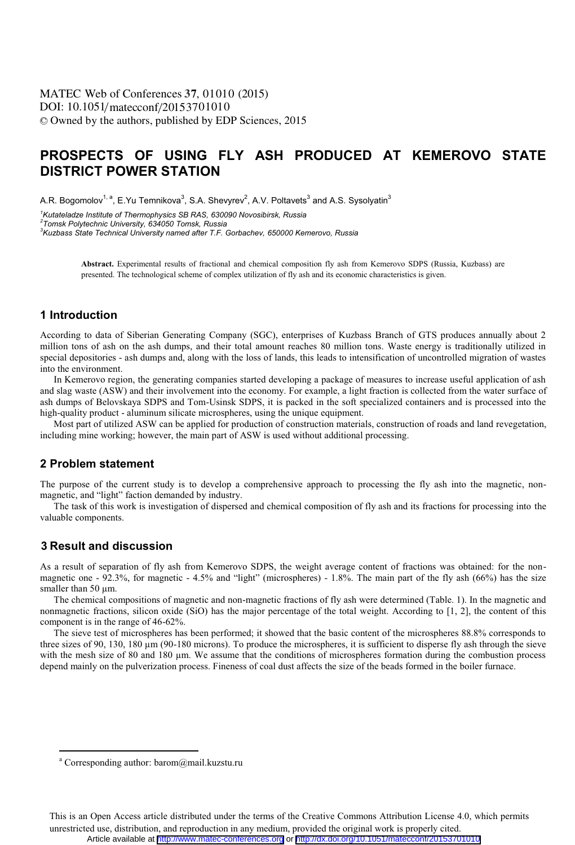# **PROSPECTS OF USING FLY ASH PRODUCED AT KEMEROVO STATE DISTRICT POWER STATION**

A.R. Bogomolov<sup>1, a</sup>, E.Yu Temnikova $^3$ , S.A. Shevyrev $^2$ , A.V. Poltavets $^3$  and A.S. Sysolyatin $^3$ 

*1 Kutateladze Institute of Thermophysics SB RAS, 630090 Novosibirsk, Russia* 

*2 Tomsk Polytechnic University, 634050 Tomsk, Russia* 

*3 Kuzbass State Technical University named after T.F. Gorbachev, 650000 Kemerovo, Russia* 

**Abstract.** Experimental results of fractional and chemical composition fly ash from Kemerovo SDPS (Russia, Kuzbass) are presented. The technological scheme of complex utilization of fly ash and its economic characteristics is given.

## **1 Introduction**

According to data of Siberian Generating Company (SGC), enterprises of Kuzbass Branch of GTS produces annually about 2 million tons of ash on the ash dumps, and their total amount reaches 80 million tons. Waste energy is traditionally utilized in special depositories - ash dumps and, along with the loss of lands, this leads to intensification of uncontrolled migration of wastes into the environment.

In Kemerovo region, the generating companies started developing a package of measures to increase useful application of ash and slag waste (ASW) and their involvement into the economy. For example, a light fraction is collected from the water surface of ash dumps of Belovskaya SDPS and Tom-Usinsk SDPS, it is packed in the soft specialized containers and is processed into the high-quality product - aluminum silicate microspheres, using the unique equipment.

Most part of utilized ASW can be applied for production of construction materials, construction of roads and land revegetation, including mine working; however, the main part of ASW is used without additional processing.

### **2 Problem statement**

The purpose of the current study is to develop a comprehensive approach to processing the fly ash into the magnetic, nonmagnetic, and "light" faction demanded by industry.

The task of this work is investigation of dispersed and chemical composition of fly ash and its fractions for processing into the valuable components.

# **Result and discussion 3**

 $\overline{a}$ 

As a result of separation of fly ash from Kemerovo SDPS, the weight average content of fractions was obtained: for the nonmagnetic one -  $92.3\%$ , for magnetic - 4.5% and "light" (microspheres) - 1.8%. The main part of the fly ash (66%) has the size smaller than 50 um.

The chemical compositions of magnetic and non-magnetic fractions of fly ash were determined (Table. 1). In the magnetic and nonmagnetic fractions, silicon oxide (SiO) has the major percentage of the total weight. According to [1, 2], the content of this component is in the range of 46-62%.

The sieve test of microspheres has been performed; it showed that the basic content of the microspheres 88.8% corresponds to three sizes of 90, 130, 180 μm (90-180 microns). To produce the microspheres, it is sufficient to disperse fly ash through the sieve with the mesh size of 80 and 180 μm. We assume that the conditions of microspheres formation during the combustion process depend mainly on the pulverization process. Fineness of coal dust affects the size of the beads formed in the boiler furnace.

a Corresponding author: barom@mail.kuzstu.ru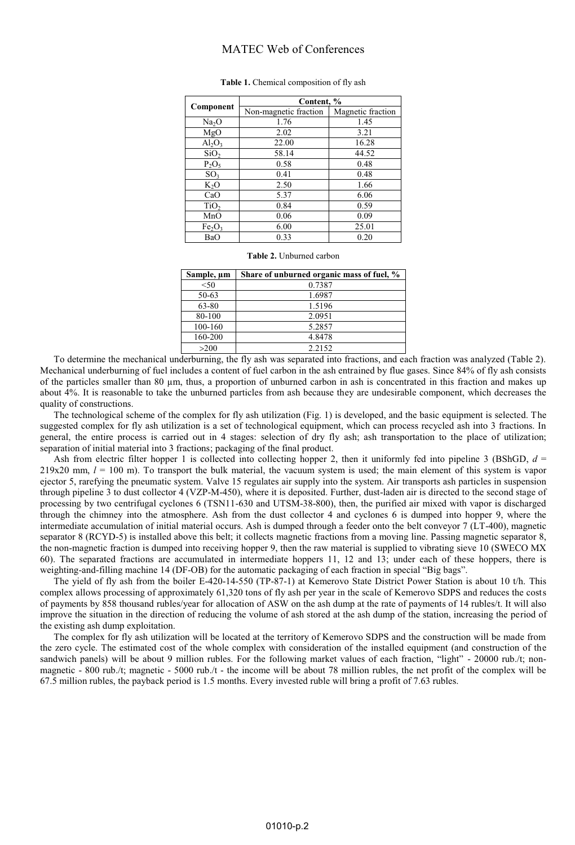### MATEC Web of Conferences

| Component                      | Content, %            |                   |
|--------------------------------|-----------------------|-------------------|
|                                | Non-magnetic fraction | Magnetic fraction |
| Na <sub>2</sub> O              | 1.76                  | 1.45              |
| MgO                            | 2.02                  | 3.21              |
| $Al_2O_3$                      | 22.00                 | 16.28             |
| SiO <sub>2</sub>               | 58.14                 | 44.52             |
| $P_2O_5$                       | 0.58                  | 0.48              |
| SO <sub>3</sub>                | 0.41                  | 0.48              |
| $K_2O$                         | 2.50                  | 1.66              |
| CaO                            | 5.37                  | 6.06              |
| TiO <sub>2</sub>               | 0.84                  | 0.59              |
| MnO                            | 0.06                  | 0.09              |
| Fe <sub>2</sub> O <sub>3</sub> | 6.00                  | 25.01             |
| BaO                            | 0.33                  | 0.20              |

#### **Table 1.** Chemical composition of fly ash

#### **Table 2.** Unburned carbon

| Sample, µm | Share of unburned organic mass of fuel, % |  |
|------------|-------------------------------------------|--|
| $<$ 50     | 0.7387                                    |  |
| 50-63      | 1.6987                                    |  |
| 63-80      | 1.5196                                    |  |
| 80-100     | 2.0951                                    |  |
| 100-160    | 5.2857                                    |  |
| 160-200    | 4.8478                                    |  |
| >200       | 2.2152                                    |  |

To determine the mechanical underburning, the fly ash was separated into fractions, and each fraction was analyzed (Table 2). Mechanical underburning of fuel includes a content of fuel carbon in the ash entrained by flue gases. Since 84% of fly ash consists of the particles smaller than 80 μm, thus, a proportion of unburned carbon in ash is concentrated in this fraction and makes up about 4%. It is reasonable to take the unburned particles from ash because they are undesirable component, which decreases the quality of constructions.

The technological scheme of the complex for fly ash utilization (Fig. 1) is developed, and the basic equipment is selected. The suggested complex for fly ash utilization is a set of technological equipment, which can process recycled ash into 3 fractions. In general, the entire process is carried out in 4 stages: selection of dry fly ash; ash transportation to the place of utilization; separation of initial material into 3 fractions; packaging of the final product.

Ash from electric filter hopper 1 is collected into collecting hopper 2, then it uniformly fed into pipeline 3 (BShGD,  $d =$  $219x20$  mm,  $l = 100$  m). To transport the bulk material, the vacuum system is used; the main element of this system is vapor ejector 5, rarefying the pneumatic system. Valve 15 regulates air supply into the system. Air transports ash particles in suspension through pipeline 3 to dust collector 4 (VZP-M-450), where it is deposited. Further, dust-laden air is directed to the second stage of processing by two centrifugal cyclones 6 (TSN11-630 and UTSM-38-800), then, the purified air mixed with vapor is discharged through the chimney into the atmosphere. Ash from the dust collector 4 and cyclones 6 is dumped into hopper 9, where the intermediate accumulation of initial material occurs. Ash is dumped through a feeder onto the belt conveyor 7 (LT-400), magnetic separator 8 (RCYD-5) is installed above this belt; it collects magnetic fractions from a moving line. Passing magnetic separator 8, the non-magnetic fraction is dumped into receiving hopper 9, then the raw material is supplied to vibrating sieve 10 (SWECO MX 60). The separated fractions are accumulated in intermediate hoppers 11, 12 and 13; under each of these hoppers, there is weighting-and-filling machine 14 (DF-OB) for the automatic packaging of each fraction in special "Big bags".

The yield of fly ash from the boiler E-420-14-550 (TP-87-1) at Kemerovo State District Power Station is about 10 t/h. This complex allows processing of approximately 61,320 tons of fly ash per year in the scale of Kemerovo SDPS and reduces the costs of payments by 858 thousand rubles/year for allocation of ASW on the ash dump at the rate of payments of 14 rubles/t. It will also improve the situation in the direction of reducing the volume of ash stored at the ash dump of the station, increasing the period of the existing ash dump exploitation.

The complex for fly ash utilization will be located at the territory of Kemerovo SDPS and the construction will be made from the zero cycle. The estimated cost of the whole complex with consideration of the installed equipment (and construction of the sandwich panels) will be about 9 million rubles. For the following market values of each fraction, "light" - 20000 rub./t; nonmagnetic - 800 rub./t; magnetic - 5000 rub./t - the income will be about 78 million rubles, the net profit of the complex will be 67.5 million rubles, the payback period is 1.5 months. Every invested ruble will bring a profit of 7.63 rubles.